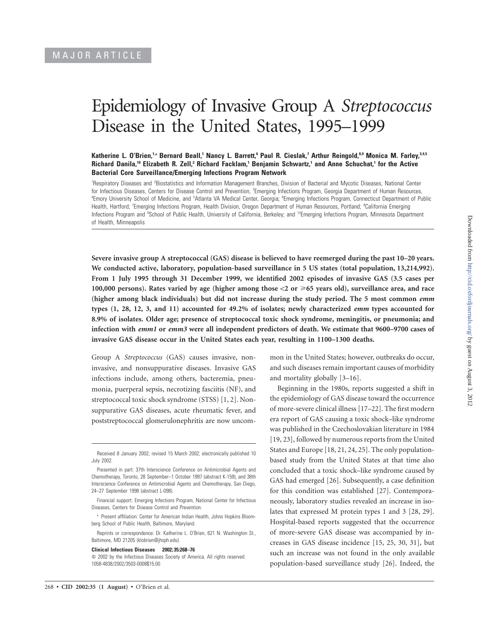# Epidemiology of Invasive Group A *Streptococcus* Disease in the United States, 1995–1999

# **Katherine L. O'Brien,1,<sup>a</sup> Bernard Beall,1 Nancy L. Barrett,6 Paul R. Cieslak,7 Arthur Reingold,8,9 Monica M. Farley,3,4,5 Richard Danila,10 Elizabeth R. Zell,2 Richard Facklam,1 Benjamin Schwartz,1 and Anne Schuchat,1 for the Active Bacterial Core Surveillance/Emerging Infections Program Network**

<sup>1</sup>Respiratory Diseases and <sup>2</sup>Biostatistics and Information Management Branches, Division of Bacterial and Mycotic Diseases, National Center for Infectious Diseases, Centers for Disease Control and Prevention, <sup>3</sup>Emerging Infections Program, Georgia Department of Human Resources, <sup>4</sup>Emory University School of Medicine, and <sup>5</sup>Atlanta VA Medical Center, Georgia; <sup>6</sup>Emerging Infections Program, Connecticut Department of Public Health, Hartford; <sup>7</sup>Emerging Infections Program, Health Division, Oregon Department of Human Resources, Portland; <sup>8</sup>California Emerging Infections Program and <sup>9</sup>School of Public Health, University of California, Berkeley; and <sup>10</sup>Emerging Infections Program, Minnesota Department of Health, Minneapolis

**Severe invasive group A streptococcal (GAS) disease is believed to have reemerged during the past 10–20 years. We conducted active, laboratory, population-based surveillance in 5 US states (total population, 13,214,992). From 1 July 1995 through 31 December 1999, we identified 2002 episodes of invasive GAS (3.5 cases per** 100,000 persons). Rates varied by age (higher among those <2 or  $\geq 65$  years old), surveillance area, and race **(higher among black individuals) but did not increase during the study period. The 5 most common** *emm* **types (1, 28, 12, 3, and 11) accounted for 49.2% of isolates; newly characterized** *emm* **types accounted for 8.9% of isolates. Older age; presence of streptococcal toxic shock syndrome, meningitis, or pneumonia; and infection with** *emm1* **or** *emm3* **were all independent predictors of death. We estimate that 9600–9700 cases of invasive GAS disease occur in the United States each year, resulting in 1100–1300 deaths.**

Group A *Streptococcus* (GAS) causes invasive, noninvasive, and nonsuppurative diseases. Invasive GAS infections include, among others, bacteremia, pneumonia, puerperal sepsis, necrotizing fasciitis (NF), and streptococcal toxic shock syndrome (STSS) [1, 2]. Nonsuppurative GAS diseases, acute rheumatic fever, and poststreptococcal glomerulonephritis are now uncom-

Reprints or correspondence: Dr. Katherine L. O'Brien, 621 N. Washington St., Baltimore, MD 21205 (klobrien@jhsph.edu).

**Clinical Infectious Diseases 2002; 35:268–76**

mon in the United States; however, outbreaks do occur, and such diseases remain important causes of morbidity and mortality globally [3–16].

Beginning in the 1980s, reports suggested a shift in the epidemiology of GAS disease toward the occurrence of more-severe clinical illness [17–22]. The first modern era report of GAS causing a toxic shock–like syndrome was published in the Czechoslovakian literature in 1984 [19, 23], followed by numerous reports from the United States and Europe [18, 21, 24, 25]. The only populationbased study from the United States at that time also concluded that a toxic shock–like syndrome caused by GAS had emerged [26]. Subsequently, a case definition for this condition was established [27]. Contemporaneously, laboratory studies revealed an increase in isolates that expressed M protein types 1 and 3 [28, 29]. Hospital-based reports suggested that the occurrence of more-severe GAS disease was accompanied by increases in GAS disease incidence [15, 25, 30, 31], but such an increase was not found in the only available population-based surveillance study [26]. Indeed, the

Received 8 January 2002; revised 15 March 2002; electronically published 10 July 2002.

Presented in part: 37th Interscience Conference on Antimicrobial Agents and Chemotherapy, Toronto, 28 September–1 October 1997 (abstract K-159), and 38th Interscience Conference on Antimicrobial Agents and Chemotherapy, San Diego, 24–27 September 1998 (abstract L-098).

Financial support: Emerging Infections Program, National Center for Infectious Diseases, Centers for Disease Control and Prevention.

<sup>a</sup> Present affiliation: Center for American Indian Health, Johns Hopkins Bloomberg School of Public Health, Baltimore, Maryland.

 $\odot$  2002 by the Infectious Diseases Society of America. All rights reserved. 1058-4838/2002/3503-0008\$15.00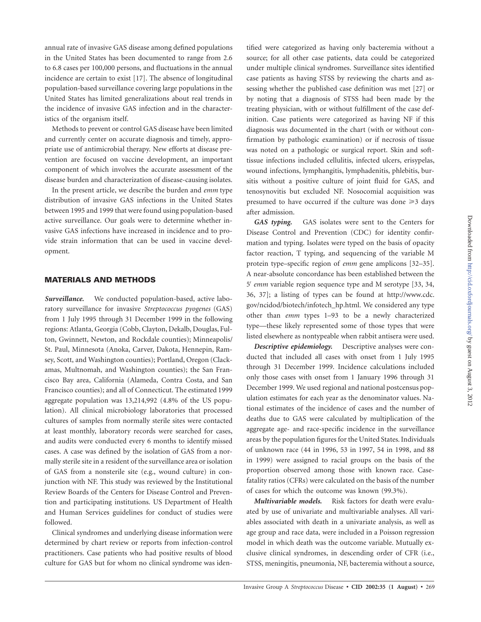annual rate of invasive GAS disease among defined populations in the United States has been documented to range from 2.6 to 6.8 cases per 100,000 persons, and fluctuations in the annual incidence are certain to exist [17]. The absence of longitudinal population-based surveillance covering large populations in the United States has limited generalizations about real trends in the incidence of invasive GAS infection and in the characteristics of the organism itself.

Methods to prevent or control GAS disease have been limited and currently center on accurate diagnosis and timely, appropriate use of antimicrobial therapy. New efforts at disease prevention are focused on vaccine development, an important component of which involves the accurate assessment of the disease burden and characterization of disease-causing isolates.

In the present article, we describe the burden and *emm* type distribution of invasive GAS infections in the United States between 1995 and 1999 that were found using population-based active surveillance. Our goals were to determine whether invasive GAS infections have increased in incidence and to provide strain information that can be used in vaccine development.

# **MATERIALS AND METHODS**

*Surveillance.* We conducted population-based, active laboratory surveillance for invasive *Streptococcus pyogenes* (GAS) from 1 July 1995 through 31 December 1999 in the following regions: Atlanta, Georgia (Cobb, Clayton, Dekalb, Douglas, Fulton, Gwinnett, Newton, and Rockdale counties); Minneapolis/ St. Paul, Minnesota (Anoka, Carver, Dakota, Hennepin, Ramsey, Scott, and Washington counties); Portland, Oregon (Clackamas, Multnomah, and Washington counties); the San Francisco Bay area, California (Alameda, Contra Costa, and San Francisco counties); and all of Connecticut. The estimated 1999 aggregate population was 13,214,992 (4.8% of the US population). All clinical microbiology laboratories that processed cultures of samples from normally sterile sites were contacted at least monthly, laboratory records were searched for cases, and audits were conducted every 6 months to identify missed cases. A case was defined by the isolation of GAS from a normally sterile site in a resident of the surveillance area or isolation of GAS from a nonsterile site (e.g., wound culture) in conjunction with NF. This study was reviewed by the Institutional Review Boards of the Centers for Disease Control and Prevention and participating institutions. US Department of Health and Human Services guidelines for conduct of studies were followed.

Clinical syndromes and underlying disease information were determined by chart review or reports from infection-control practitioners. Case patients who had positive results of blood culture for GAS but for whom no clinical syndrome was iden-

tified were categorized as having only bacteremia without a source; for all other case patients, data could be categorized under multiple clinical syndromes. Surveillance sites identified case patients as having STSS by reviewing the charts and assessing whether the published case definition was met [27] or by noting that a diagnosis of STSS had been made by the treating physician, with or without fulfillment of the case definition. Case patients were categorized as having NF if this diagnosis was documented in the chart (with or without confirmation by pathologic examination) or if necrosis of tissue was noted on a pathologic or surgical report. Skin and softtissue infections included cellulitis, infected ulcers, erisypelas, wound infections, lymphangitis, lymphadenitis, phlebitis, bursitis without a positive culture of joint fluid for GAS, and tenosynovitis but excluded NF. Nosocomial acquisition was presumed to have occurred if the culture was done  $\geq 3$  days after admission.

*GAS typing.* GAS isolates were sent to the Centers for Disease Control and Prevention (CDC) for identity confirmation and typing. Isolates were typed on the basis of opacity factor reaction, T typing, and sequencing of the variable M protein type–specific region of *emm* gene amplicons [32–35]. A near-absolute concordance has been established between the 5' emm variable region sequence type and M serotype [33, 34, 36, 37]; a listing of types can be found at http://www.cdc. gov/ncidod/biotech/infotech\_hp.html. We considered any type other than *emm* types 1–93 to be a newly characterized type—these likely represented some of those types that were listed elsewhere as nontypeable when rabbit antisera were used.

*Descriptive epidemiology.* Descriptive analyses were conducted that included all cases with onset from 1 July 1995 through 31 December 1999. Incidence calculations included only those cases with onset from 1 January 1996 through 31 December 1999. We used regional and national postcensus population estimates for each year as the denominator values. National estimates of the incidence of cases and the number of deaths due to GAS were calculated by multiplication of the aggregate age- and race-specific incidence in the surveillance areas by the population figures for the United States. Individuals of unknown race (44 in 1996, 53 in 1997, 54 in 1998, and 88 in 1999) were assigned to racial groups on the basis of the proportion observed among those with known race. Casefatality ratios (CFRs) were calculated on the basis of the number of cases for which the outcome was known (99.3%).

*Multivariable models.* Risk factors for death were evaluated by use of univariate and multivariable analyses. All variables associated with death in a univariate analysis, as well as age group and race data, were included in a Poisson regression model in which death was the outcome variable. Mutually exclusive clinical syndromes, in descending order of CFR (i.e., STSS, meningitis, pneumonia, NF, bacteremia without a source,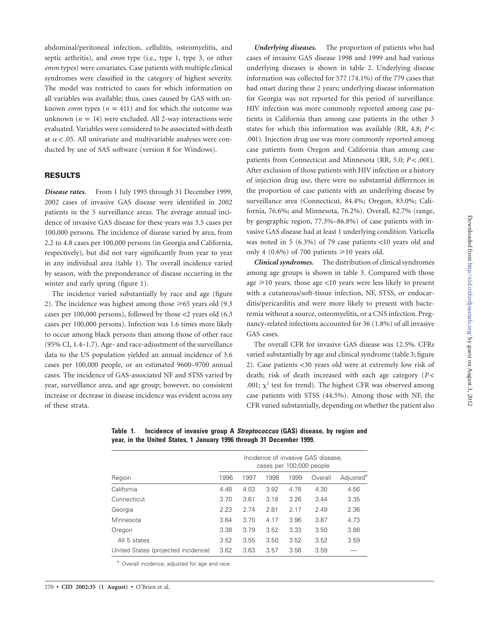abdominal/peritoneal infection, cellulitis, osteomyelitis, and septic arthritis), and *emm* type (i.e., type 1, type 3, or other *emm* types) were covariates. Case patients with multiple clinical syndromes were classified in the category of highest severity. The model was restricted to cases for which information on all variables was available; thus, cases caused by GAS with unknown *emm* types ( $n = 411$ ) and for which the outcome was unknown ( $n = 14$ ) were excluded. All 2-way interactions were evaluated. Variables were considered to be associated with death at  $\alpha$  < .05. All univariate and multivariable analyses were conducted by use of SAS software (version 8 for Windows).

# **RESULTS**

*Disease rates.* From 1 July 1995 through 31 December 1999, 2002 cases of invasive GAS disease were identified in 2002 patients in the 5 surveillance areas. The average annual incidence of invasive GAS disease for these years was 3.5 cases per 100,000 persons. The incidence of disease varied by area, from 2.2 to 4.8 cases per 100,000 persons (in Georgia and California, respectively), but did not vary significantly from year to year in any individual area (table 1). The overall incidence varied by season, with the preponderance of disease occurring in the winter and early spring (figure 1).

The incidence varied substantially by race and age (figure 2). The incidence was highest among those  $\geq 65$  years old (9.3) cases per 100,000 persons), followed by those  $<$ 2 years old (6.3) cases per 100,000 persons). Infection was 1.6 times more likely to occur among black persons than among those of other race (95% CI, 1.4–1.7). Age- and race-adjustment of the surveillance data to the US population yielded an annual incidence of 3.6 cases per 100,000 people, or an estimated 9600–9700 annual cases. The incidence of GAS-associated NF and STSS varied by year, surveillance area, and age group; however, no consistent increase or decrease in disease incidence was evident across any of these strata.

*Underlying diseases.* The proportion of patients who had cases of invasive GAS disease 1998 and 1999 and had various underlying diseases is shown in table 2. Underlying disease information was collected for 577 (74.1%) of the 779 cases that had onset during these 2 years; underlying disease information for Georgia was not reported for this period of surveillance. HIV infection was more commonly reported among case patients in California than among case patients in the other 3 states for which this information was available (RR, 4.8;  $P$  < .001). Injection drug use was more commonly reported among case patients from Oregon and California than among case patients from Connecticut and Minnesota (RR, 5.0;  $P < .001$ ). After exclusion of those patients with HIV infection or a history of injection drug use, there were no substantial differences in the proportion of case patients with an underlying disease by surveillance area (Connecticut, 84.4%; Oregon, 83.0%; California, 76.6%; and Minnesota, 76.2%). Overall, 82.7% (range, by geographic region, 77.3%–86.8%) of case patients with invasive GAS disease had at least 1 underlying condition. Varicella was noted in 5 (6.3%) of 79 case patients  $<$ 10 years old and only 4 (0.6%) of 700 patients  $\geq 10$  years old.

*Clinical syndromes.* The distribution of clinical syndromes among age groups is shown in table 3. Compared with those age  $\geq$ 10 years, those age <10 years were less likely to present with a cutaneous/soft-tissue infection, NF, STSS, or endocarditis/pericarditis and were more likely to present with bacteremia without a source, osteomyelitis, or a CNS infection. Pregnancy-related infections accounted for 36 (1.8%) of all invasive GAS cases.

The overall CFR for invasive GAS disease was 12.5%. CFRs varied substantially by age and clinical syndrome (table 3; figure 2). Case patients <30 years old were at extremely low risk of death; risk of death increased with each age category  $(P \leq$ .001;  $\chi^2$  test for trend). The highest CFR was observed among case patients with STSS (44.5%). Among those with NF, the CFR varied substantially, depending on whether the patient also

Region Incidence of invasive GAS disease, cases per 100,000 people 1996 1997 1998 1999 Overall Adjusted<sup>e</sup> California 4.48 4.03 3.92 4.78 4.30 4.56 Connecticut 3.70 3.61 3.18 3.26 3.44 3.35 Georgia 2.23 2.74 2.81 2.17 2.49 2.36 Minnesota 3.64 3.70 4.17 3.96 3.87 4.73 Oregon 3.38 3.79 3.52 3.33 3.50 3.88 All 5 states 3.52 3.55 3.50 3.52 3.52 3.59 United States (projected incidence) 3.62 3.63 3.57 3.56 3.59 —

**Table 1. Incidence of invasive group A** *Streptococcus* **(GAS) disease, by region and year, in the United States, 1 January 1996 through 31 December 1999.**

<sup>a</sup> Overall incidence, adjusted for age and race.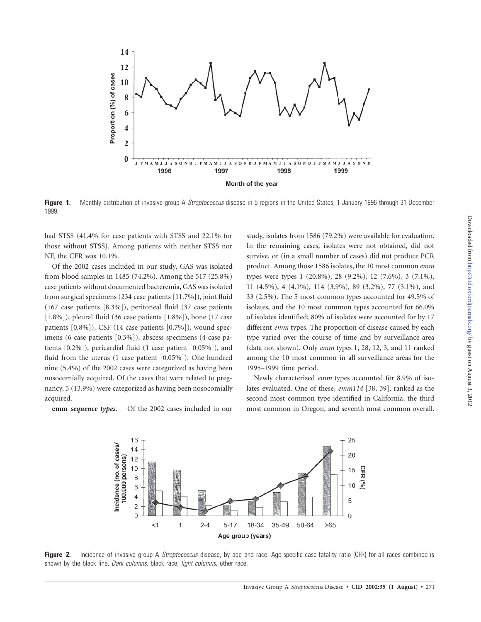

Figure 1. Monthly distribution of invasive group A Streptococcus disease in 5 regions in the United States, 1 January 1996 through 31 December 1999.

had STSS (41.4% for case patients with STSS and 22.1% for those without STSS). Among patients with neither STSS nor NF, the CFR was 10.1%.

Of the 2002 cases included in our study, GAS was isolated from blood samples in 1485 (74.2%). Among the 517 (25.8%) case patients without documented bacteremia, GAS was isolated from surgical specimens (234 case patients [11.7%]), joint fluid (167 case patients [8.3%]), peritoneal fluid (37 case patients [1.8%]), pleural fluid (36 case patients [1.8%]), bone (17 case patients [0.8%]), CSF (14 case patients [0.7%]), wound specimens (6 case patients [0.3%]), abscess specimens (4 case patients [0.2%]), pericardial fluid (1 case patient [0.05%]), and fluid from the uterus (1 case patient [0.05%]). One hundred nine (5.4%) of the 2002 cases were categorized as having been nosocomially acquired. Of the cases that were related to pregnancy, 5 (13.9%) were categorized as having been nosocomially acquired.

**emm** *sequence types.* Of the 2002 cases included in our

study, isolates from 1586 (79.2%) were available for evaluation. In the remaining cases, isolates were not obtained, did not survive, or (in a small number of cases) did not produce PCR product. Among those 1586 isolates, the 10 most common *emm* types were types 1 (20.8%), 28 (9.2%), 12 (7.6%), 3 (7.1%), 11 (4.5%), 4 (4.1%), 114 (3.9%), 89 (3.2%), 77 (3.1%), and 33 (2.5%). The 5 most common types accounted for 49.5% of isolates, and the 10 most common types accounted for 66.0% of isolates identified; 80% of isolates were accounted for by 17 different *emm* types. The proportion of disease caused by each type varied over the course of time and by surveillance area (data not shown). Only *emm* types 1, 28, 12, 3, and 11 ranked among the 10 most common in all surveillance areas for the 1995–1999 time period.

Newly characterized *emm* types accounted for 8.9% of isolates evaluated. One of these, *emm114* [38, 39], ranked as the second most common type identified in California, the third most common in Oregon, and seventh most common overall.



**Figure 2.** Incidence of invasive group A Streptococcus disease, by age and race. Age-specific case-fatality ratio (CFR) for all races combined is shown by the black line. Dark columns, black race; light columns, other race.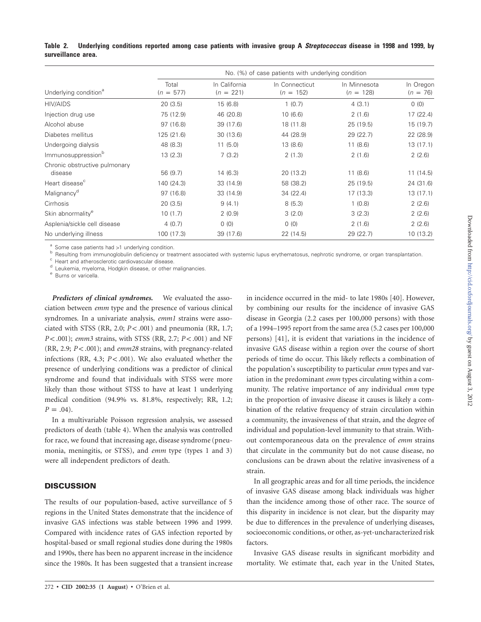| Underlying condition <sup>a</sup>        | No. (%) of case patients with underlying condition |                              |                               |                             |                         |  |  |
|------------------------------------------|----------------------------------------------------|------------------------------|-------------------------------|-----------------------------|-------------------------|--|--|
|                                          | Total<br>$(n = 577)$                               | In California<br>$(n = 221)$ | In Connecticut<br>$(n = 152)$ | In Minnesota<br>$(n = 128)$ | In Oregon<br>$(n = 76)$ |  |  |
| HIV/AIDS                                 | 20(3.5)                                            | 15(6.8)                      | 1(0.7)                        | 4(3.1)                      | 0(0)                    |  |  |
| Injection drug use                       | 75 (12.9)                                          | 46 (20.8)                    | 10(6.6)                       | 2(1.6)                      | 17(22.4)                |  |  |
| Alcohol abuse                            | 97 (16.8)                                          | 39 (17.6)                    | 18 (11.8)                     | 25(19.5)                    | 15 (19.7)               |  |  |
| Diabetes mellitus                        | 125 (21.6)                                         | 30(13.6)                     | 44 (28.9)                     | 29(22.7)                    | 22 (28.9)               |  |  |
| Undergoing dialysis                      | 48 (8.3)                                           | 11(5.0)                      | 13(8.6)                       | 11(8.6)                     | 13(17.1)                |  |  |
| Immunosuppression <sup>b</sup>           | 13(2.3)                                            | 7(3.2)                       | 2(1.3)                        | 2(1.6)                      | 2(2.6)                  |  |  |
| Chronic obstructive pulmonary<br>disease | 56 (9.7)                                           | 14(6.3)                      | 20(13.2)                      | 11(8.6)                     | 11(14.5)                |  |  |
| Heart disease <sup>c</sup>               | 140 (24.3)                                         | 33 (14.9)                    | 58 (38.2)                     | 25 (19.5)                   | 24 (31.6)               |  |  |
| Malignancy <sup>d</sup>                  | 97 (16.8)                                          | 33 (14.9)                    | 34(22.4)                      | 17(13.3)                    | 13(17.1)                |  |  |
| Cirrhosis                                | 20(3.5)                                            | 9(4.1)                       | 8(5.3)                        | 1(0.8)                      | 2(2.6)                  |  |  |
| Skin abnormality <sup>e</sup>            | 10(1.7)                                            | 2(0.9)                       | 3(2.0)                        | 3(2.3)                      | 2(2.6)                  |  |  |
| Asplenia/sickle cell disease             | 4(0.7)                                             | 0(0)                         | 0(0)                          | 2(1.6)                      | 2(2.6)                  |  |  |
| No underlying illness                    | 100 (17.3)                                         | 39 (17.6)                    | 22(14.5)                      | 29 (22.7)                   | 10(13.2)                |  |  |

**Table 2. Underlying conditions reported among case patients with invasive group A** *Streptococcus* **disease in 1998 and 1999, by surveillance area.**

<sup>a</sup> Some case patients had >1 underlying condition.<br>
<sup>b</sup> Resulting from immunoglobulin deficiency or treatment associated with systemic lupus erythematosus, nephrotic syndrome, or organ transplantation.<br>
<sup>c</sup> Heart and athe

*Predictors of clinical syndromes.* We evaluated the association between *emm* type and the presence of various clinical syndromes. In a univariate analysis, *emm1* strains were associated with STSS (RR, 2.0;  $P < .001$ ) and pneumonia (RR, 1.7; *P* < .001); *emm3* strains, with STSS (RR, 2.7; *P* < .001) and NF  $(RR, 2.9; P < .001)$ ; and *emm28* strains, with pregnancy-related infections (RR, 4.3;  $P < .001$ ). We also evaluated whether the presence of underlying conditions was a predictor of clinical syndrome and found that individuals with STSS were more likely than those without STSS to have at least 1 underlying medical condition (94.9% vs. 81.8%, respectively; RR, 1.2;  $P = .04$ ).

In a multivariable Poisson regression analysis, we assessed predictors of death (table 4). When the analysis was controlled for race, we found that increasing age, disease syndrome (pneumonia, meningitis, or STSS), and *emm* type (types 1 and 3) were all independent predictors of death.

# **DISCUSSION**

The results of our population-based, active surveillance of 5 regions in the United States demonstrate that the incidence of invasive GAS infections was stable between 1996 and 1999. Compared with incidence rates of GAS infection reported by hospital-based or small regional studies done during the 1980s and 1990s, there has been no apparent increase in the incidence since the 1980s. It has been suggested that a transient increase

in incidence occurred in the mid- to late 1980s [40]. However, by combining our results for the incidence of invasive GAS disease in Georgia (2.2 cases per 100,000 persons) with those of a 1994–1995 report from the same area (5.2 cases per 100,000 persons) [41], it is evident that variations in the incidence of invasive GAS disease within a region over the course of short periods of time do occur. This likely reflects a combination of the population's susceptibility to particular *emm* types and variation in the predominant *emm* types circulating within a community. The relative importance of any individual *emm* type in the proportion of invasive disease it causes is likely a combination of the relative frequency of strain circulation within a community, the invasiveness of that strain, and the degree of individual and population-level immunity to that strain. Without contemporaneous data on the prevalence of *emm* strains that circulate in the community but do not cause disease, no conclusions can be drawn about the relative invasiveness of a strain.

In all geographic areas and for all time periods, the incidence of invasive GAS disease among black individuals was higher than the incidence among those of other race. The source of this disparity in incidence is not clear, but the disparity may be due to differences in the prevalence of underlying diseases, socioeconomic conditions, or other, as-yet-uncharacterized risk factors.

Invasive GAS disease results in significant morbidity and mortality. We estimate that, each year in the United States,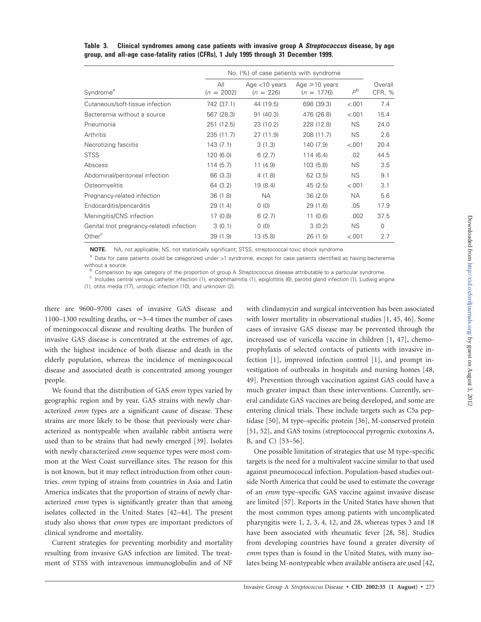|                                           | No. (%) of case patients with syndrome |                                 |                                     |             |                   |
|-------------------------------------------|----------------------------------------|---------------------------------|-------------------------------------|-------------|-------------------|
| Syndrome <sup>a</sup>                     | All<br>$(n = 2002)$                    | Age $<$ 10 years<br>$(n = 226)$ | Age $\geq 10$ years<br>$(n = 1776)$ | $P^{\rm b}$ | Overall<br>CFR, % |
| Cutaneous/soft-tissue infection           | 742 (37.1)                             | 44 (19.5)                       | 698 (39.3)                          | < 001       | 7.4               |
| Bacteremia without a source               | 567 (28.3)                             | 91 (40.3)                       | 476 (26.8)                          | < 001       | 15.4              |
| Pneumonia                                 | 251 (12.5)                             | 23 (10.2)                       | 228 (12.8)                          | <b>NS</b>   | 24.0              |
| Arthritis                                 | 235 (11.7)                             | 27 (11.9)                       | 208 (11.7)                          | <b>NS</b>   | 2.6               |
| Necrotizing fasciitis                     | 143(7.1)                               | 3(1.3)                          | 140 (7.9)                           | < 001       | 20.4              |
| STSS                                      | 120(6.0)                               | 6(2.7)                          | 114(6.4)                            | .02         | 44.5              |
| Abscess                                   | 114(5.7)                               | 11(4.9)                         | 103(5.8)                            | <b>NS</b>   | 3.5               |
| Abdominal/peritoneal infection            | 66 (3.3)                               | 4(1.8)                          | 62(3.5)                             | <b>NS</b>   | 9.1               |
| Osteomyelitis                             | 64 (3.2)                               | 19(8.4)                         | 45(2.5)                             | < 001       | 3.1               |
| Pregnancy-related infection               | 36(1.8)                                | <b>NA</b>                       | 36(2.0)                             | <b>NA</b>   | 5.6               |
| Endocarditis/pericarditis                 | 29(1.4)                                | 0(0)                            | 29(1.6)                             | .05         | 17.9              |
| Meningitis/CNS infection                  | 17(0.8)                                | 6(2.7)                          | 11(0.6)                             | .002        | 37.5              |
| Genital (not pregnancy-related) infection | 3(0.1)                                 | 0(0)                            | 3(0.2)                              | <b>NS</b>   | $\mathbf 0$       |
| Other <sup>c</sup>                        | 39(1.9)                                | 13 (5.8)                        | 26(1.5)                             | < 001       | 2.7               |

**Table 3. Clinical syndromes among case patients with invasive group A** *Streptococcus* **disease, by age group, and all-age case-fatality ratios (CFRs), 1 July 1995 through 31 December 1999.**

**NOTE.** NA, not applicable; NS, not statistically significant; STSS, streptococcal toxic shock syndrome.

<sup>a</sup> Data for case patients could be categorized under >1 syndrome, except for case patients identified as having bacteremia

without a source.<br><sup>b</sup> Comparison by age category of the proportion of group A *Streptococcus* disease attributable to a particular syndrome.<br><sup>c</sup> Includes central venous catheter infection (1), endophthalmitis (1), epiglott

(1), otitis media (17), urologic infection (10), and unknown (2).

there are 9600–9700 cases of invasive GAS disease and 1100–1300 resulting deaths, or ∼3–4 times the number of cases of meningococcal disease and resulting deaths. The burden of invasive GAS disease is concentrated at the extremes of age, with the highest incidence of both disease and death in the elderly population, whereas the incidence of meningococcal disease and associated death is concentrated among younger people.

We found that the distribution of GAS *emm* types varied by geographic region and by year. GAS strains with newly characterized *emm* types are a significant cause of disease. These strains are more likely to be those that previously were characterized as nontypeable when available rabbit antisera were used than to be strains that had newly emerged [39]. Isolates with newly characterized *emm* sequence types were most common at the West Coast surveillance sites. The reason for this is not known, but it may reflect introduction from other countries. *emm* typing of strains from countries in Asia and Latin America indicates that the proportion of strains of newly characterized *emm* types is significantly greater than that among isolates collected in the United States [42–44]. The present study also shows that *emm* types are important predictors of clinical syndrome and mortality.

Current strategies for preventing morbidity and mortality resulting from invasive GAS infection are limited. The treatment of STSS with intravenous immunoglobulin and of NF

with clindamycin and surgical intervention has been associated with lower mortality in observational studies [1, 45, 46]. Some cases of invasive GAS disease may be prevented through the increased use of varicella vaccine in children [1, 47], chemoprophylaxis of selected contacts of patients with invasive infection [1], improved infection control [1], and prompt investigation of outbreaks in hospitals and nursing homes [48, 49]. Prevention through vaccination against GAS could have a much greater impact than these interventions. Currently, several candidate GAS vaccines are being developed, and some are entering clinical trials. These include targets such as C5a peptidase [50], M type–specific protein [36], M-conserved protein [51, 52], and GAS toxins (streptococcal pyrogenic exotoxins A, B, and C) [53–56].

One possible limitation of strategies that use M type–specific targets is the need for a multivalent vaccine similar to that used against pneumococcal infection. Population-based studies outside North America that could be used to estimate the coverage of an *emm* type–specific GAS vaccine against invasive disease are limited [57]. Reports in the United States have shown that the most common types among patients with uncomplicated pharyngitis were 1, 2, 3, 4, 12, and 28, whereas types 3 and 18 have been associated with rheumatic fever [28, 58]. Studies from developing countries have found a greater diversity of *emm* types than is found in the United States, with many isolates being M-nontypeable when available antisera are used [42,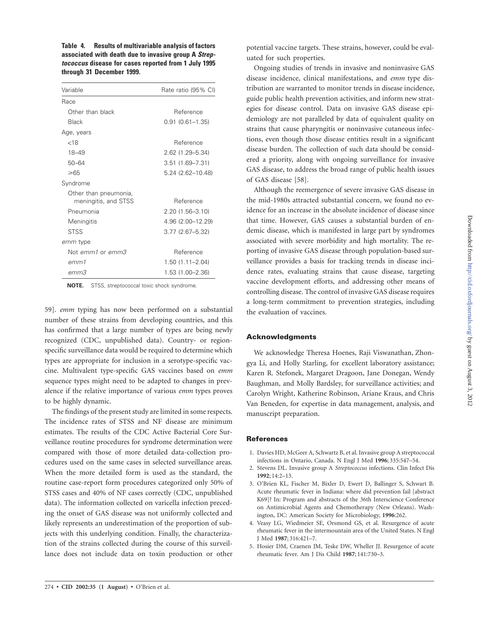**Table 4. Results of multivariable analysis of factors associated with death due to invasive group A** *Streptococcus* **disease for cases reported from 1 July 1995 through 31 December 1999.**

| Variable                                      | Rate ratio (95% CI) |  |  |
|-----------------------------------------------|---------------------|--|--|
| Race                                          |                     |  |  |
| Other than black                              | Reference           |  |  |
| Black                                         | $0.91(0.61 - 1.35)$ |  |  |
| Age, years                                    |                     |  |  |
| ${<}18$                                       | Reference           |  |  |
| 18-49                                         | 2.62 (1.29 - 5.34)  |  |  |
| $50 - 64$                                     | $3.51(1.69 - 7.31)$ |  |  |
| ≥65                                           | 5.24 (2.62-10.48)   |  |  |
| Syndrome                                      |                     |  |  |
| Other than pneumonia,<br>meningitis, and STSS | Reference           |  |  |
| Pneumonia                                     | 2.20 (1.56-3.10)    |  |  |
| Meningitis                                    | 4.96 (2.00-12.29)   |  |  |
| <b>STSS</b>                                   | $3.77(2.67 - 5.32)$ |  |  |
| emm type                                      |                     |  |  |
| Not <i>emm1</i> or emm3                       | Reference           |  |  |
| emm1                                          | 1.50 (1.11–2.04)    |  |  |
| етт3                                          | 1.53 (1.00-2.36)    |  |  |

**NOTE.** STSS, streptococcal toxic shock syndrome.

59]. *emm* typing has now been performed on a substantial number of these strains from developing countries, and this has confirmed that a large number of types are being newly recognized (CDC, unpublished data). Country- or regionspecific surveillance data would be required to determine which types are appropriate for inclusion in a serotype-specific vaccine. Multivalent type-specific GAS vaccines based on *emm* sequence types might need to be adapted to changes in prevalence if the relative importance of various *emm* types proves to be highly dynamic.

The findings of the present study are limited in some respects. The incidence rates of STSS and NF disease are minimum estimates. The results of the CDC Active Bacterial Core Surveillance routine procedures for syndrome determination were compared with those of more detailed data-collection procedures used on the same cases in selected surveillance areas. When the more detailed form is used as the standard, the routine case-report form procedures categorized only 50% of STSS cases and 40% of NF cases correctly (CDC, unpublished data). The information collected on varicella infection preceding the onset of GAS disease was not uniformly collected and likely represents an underestimation of the proportion of subjects with this underlying condition. Finally, the characterization of the strains collected during the course of this surveillance does not include data on toxin production or other potential vaccine targets. These strains, however, could be evaluated for such properties.

Ongoing studies of trends in invasive and noninvasive GAS disease incidence, clinical manifestations, and *emm* type distribution are warranted to monitor trends in disease incidence, guide public health prevention activities, and inform new strategies for disease control. Data on invasive GAS disease epidemiology are not paralleled by data of equivalent quality on strains that cause pharyngitis or noninvasive cutaneous infections, even though those disease entities result in a significant disease burden. The collection of such data should be considered a priority, along with ongoing surveillance for invasive GAS disease, to address the broad range of public health issues of GAS disease [58].

Although the reemergence of severe invasive GAS disease in the mid-1980s attracted substantial concern, we found no evidence for an increase in the absolute incidence of disease since that time. However, GAS causes a substantial burden of endemic disease, which is manifested in large part by syndromes associated with severe morbidity and high mortality. The reporting of invasive GAS disease through population-based surveillance provides a basis for tracking trends in disease incidence rates, evaluating strains that cause disease, targeting vaccine development efforts, and addressing other means of controlling disease. The control of invasive GAS disease requires a long-term commitment to prevention strategies, including the evaluation of vaccines.

## **Acknowledgments**

We acknowledge Theresa Hoenes, Raji Viswanathan, Zhongya Li, and Holly Starling, for excellent laboratory assistance; Karen R. Stefonek, Margaret Dragoon, Jane Donegan, Wendy Baughman, and Molly Bardsley, for surveillance activities; and Carolyn Wright, Katherine Robinson, Ariane Kraus, and Chris Van Beneden, for expertise in data management, analysis, and manuscript preparation.

#### **References**

- 1. Davies HD, McGeer A, Schwartz B, et al. Invasive group A streptococcal infections in Ontario, Canada. N Engl J Med **1996**; 335:547–54.
- 2. Stevens DL. Invasive group A *Streptococcus* infections. Clin Infect Dis **1992**; 14:2–13.
- 3. O'Brien KL, Fischer M, Bixler D, Ewert D, Ballinger S, Schwart B. Acute rheumatic fever in Indiana: where did prevention fail [abstract K69]? In: Program and abstracts of the 36th Interscience Conference on Antimicrobial Agents and Chemotherapy (New Orleans). Washington, DC: American Society for Microbiology, **1996**:262.
- 4. Veasy LG, Wiedmeier SE, Orsmond GS, et al. Resurgence of acute rheumatic fever in the intermountain area of the United States. N Engl J Med **1987**; 316:421–7.
- 5. Hosier DM, Craenen JM, Teske DW, Wheller JJ. Resurgence of acute rheumatic fever. Am J Dis Child **1987**; 141:730–3.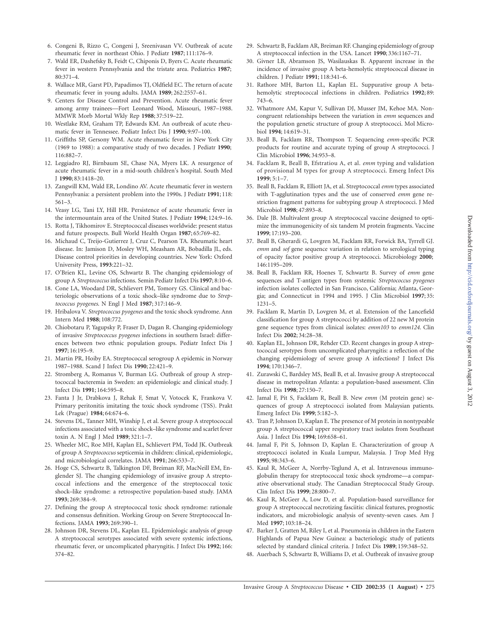- 6. Congeni B, Rizzo C, Congeni J, Sreenivasan VV. Outbreak of acute rheumatic fever in northeast Ohio. J Pediatr **1987**; 111:176–9.
- 7. Wald ER, Dashefsky B, Feidt C, Chiponis D, Byers C. Acute rheumatic fever in western Pennsylvania and the tristate area. Pediatrics **1987**; 80:371–4.
- 8. Wallace MR, Garst PD, Papadimos TJ, Oldfield EC. The return of acute rheumatic fever in young adults. JAMA **1989**; 262:2557–61.
- 9. Centers for Disease Control and Prevention. Acute rheumatic fever among army trainees—Fort Leonard Wood, Missouri, 1987–1988. MMWR Morb Mortal Wkly Rep **1988**; 37:519–22.
- 10. Westlake RM, Graham TP, Edwards KM. An outbreak of acute rheumatic fever in Tennessee. Pediatr Infect Dis J **1990**; 9:97–100.
- 11. Griffiths SP, Gersony WM. Acute rheumatic fever in New York City (1969 to 1988): a comparative study of two decades. J Pediatr **1990**; 116:882–7.
- 12. Leggiadro RJ, Birnbaum SE, Chase NA, Myers LK. A resurgence of acute rheumatic fever in a mid-south children's hospital. South Med J **1990**; 83:1418–20.
- 13. Zangwill KM, Wald ER, Londino AV. Acute rheumatic fever in western Pennsylvania: a persistent problem into the 1990s. J Pediatr **1991**; 118: 561–3.
- 14. Veasy LG, Tani LY, Hill HR. Persistence of acute rheumatic fever in the intermountain area of the United States. J Pediatr **1994**; 124:9–16.
- 15. Rotta J, Tikhomirov E. Streptococcal diseases worldwide: present status and future prospects. Bull World Health Organ **1987**; 65:769–82.
- 16. Michaud C, Treijo-Gutierrez J, Cruz C, Pearson TA. Rheumatic heart disease. In: Jamison D, Mosley WH, Measham AR, Bobadilla JL, eds. Disease control priorities in developing countries. New York: Oxford University Press, **1993**:221–32.
- 17. O'Brien KL, Levine OS, Schwartz B. The changing epidemiology of group A *Streptococcus* infections. Semin Pediatr Infect Dis **1997**; 8:10–6.
- 18. Cone LA, Woodard DR, Schlievert PM, Tomory GS. Clinical and bacteriologic observations of a toxic shock–like syndrome due to *Streptococcus pyogenes*. N Engl J Med **1987**; 317:146–9.
- 19. Hribalova V. *Streptococcus pyogenes* and the toxic shock syndrome. Ann Intern Med **1988**; 108:772.
- 20. Chiobotaru P, Yagupsky P, Fraser D, Dagan R. Changing epidemiology of invasive *Streptococcus pyogenes* infections in southern Israel: differences between two ethnic population groups. Pediatr Infect Dis J **1997**; 16:195–9.
- 21. Martin PR, Hoiby EA. Streptococcal serogroup A epidemic in Norway 1987–1988. Scand J Infect Dis **1990**; 22:421–9.
- 22. Stromberg A, Romanus V, Burman LG. Outbreak of group A streptococcal bacteremia in Sweden: an epidemiologic and clinical study. J Infect Dis **1991**; 164:595–8.
- 23. Fanta J Jr, Drabkova J, Rehak F, Smat V, Votocek K, Frankova V. Primary peritonitis imitating the toxic shock syndrome (TSS). Prakt Lek (Prague) **1984**; 64:674–6.
- 24. Stevens DL, Tanner MH, Winship J, et al. Severe group A streptococcal infections associated with a toxic shock–like syndrome and scarlet fever toxin A. N Engl J Med **1989**; 321:1–7.
- 25. Wheeler MC, Roe MH, Kaplan EL, Schlievert PM, Todd JK. Outbreak of group A *Streptococcus* septicemia in children: clinical, epidemiologic, and microbiological correlates. JAMA **1991**; 266:533–7.
- 26. Hoge CS, Schwartz B, Talkington DF, Breiman RF, MacNeill EM, Englender SJ. The changing epidemiology of invasive group A streptococcal infections and the emergence of the streptococcal toxic shock–like syndrome: a retrospective population-based study. JAMA **1993**; 269:384–9.
- 27. Defining the group A streptococcal toxic shock syndrome: rationale and consensus definition. Working Group on Severe Streptococcal Infections. JAMA **1993**; 269:390–1.
- 28. Johnson DR, Stevens DL, Kaplan EL. Epidemiologic analysis of group A streptococcal serotypes associated with severe systemic infections, rheumatic fever, or uncomplicated pharyngitis. J Infect Dis **1992**; 166: 374–82.
- 29. Schwartz B, Facklam AR, Breiman RF. Changing epidemiology of group A streptococcal infection in the USA. Lancet **1990**; 336:1167–71.
- 30. Givner LB, Abramson JS, Wasilauskas B. Apparent increase in the incidence of invasive group A beta-hemolytic streptococcal disease in children. J Pediatr **1991**; 118:341–6.
- 31. Rathore MH, Barton LL, Kaplan EL. Suppurative group A betahemolytic streptococcal infections in children. Pediatrics **1992**; 89: 743–6.
- 32. Whatmore AM, Kapur V, Sullivan DJ, Musser JM, Kehoe MA. Noncongruent relationships between the variation in *emm* sequences and the population genetic structure of group A streptococci. Mol Microbiol **1994**; 14:619–31.
- 33. Beall B, Facklam RR, Thompson T. Sequencing *emm*-specific PCR products for routine and accurate typing of group A streptococci. J Clin Microbiol **1996**; 34:953–8.
- 34. Facklam R, Beall B, Efstratiou A, et al. *emm* typing and validation of provisional M types for group A streptococci. Emerg Infect Dis **1999**; 5:1–7.
- 35. Beall B, Facklam R, Elliott JA, et al. Streptococcal *emm* types associated with T-agglutination types and the use of conserved *emm* gene restriction fragment patterns for subtyping group A streptococci. J Med Microbiol **1998**; 47:893–8.
- 36. Dale JB. Multivalent group A streptococcal vaccine designed to optimize the immunogenicity of six tandem M protein fragments. Vaccine **1999**; 17:193–200.
- 37. Beall B, Gherardi G, Lovgren M, Facklam RR, Forwick BA, Tyrrell GJ. *emm* and *sof* gene sequence variation in relation to serological typing of opacity factor positive group A streptococci. Microbiology **2000**; 146:1195–209.
- 38. Beall B, Facklam RR, Hoenes T, Schwartz B. Survey of *emm* gene sequences and T-antigen types from systemic *Streptococcus pyogenes* infection isolates collected in San Francisco, California; Atlanta, Georgia; and Connecticut in 1994 and 1995. J Clin Microbiol **1997**; 35: 1231–5.
- 39. Facklam R, Martin D, Lovgren M, et al. Extension of the Lancefield classification for group A streptococci by addition of 22 new M protein gene sequence types from clinical isolates: *emm103* to *emm124.* Clin Infect Dis **2002**; 34:28–38.
- 40. Kaplan EL, Johnson DR, Rehder CD. Recent changes in group A streptococcal serotypes from uncomplicated pharyngitis: a reflection of the changing epidemiology of severe group A infections? J Infect Dis **1994**; 170:1346–7.
- 41. Zurawski C, Bardsley MS, Beall B, et al. Invasive group A streptococcal disease in metropolitan Atlanta: a population-based assessment. Clin Infect Dis **1998**; 27:150–7.
- 42. Jamal F, Pit S, Facklam R, Beall B. New *emm* (M protein gene) sequences of group A streptococci isolated from Malaysian patients. Emerg Infect Dis **1999**; 5:182–3.
- 43. Tran P, Johnson D, Kaplan E. The presence of M protein in nontypeable group A streptococcal upper respiratory tract isolates from Southeast Asia. J Infect Dis **1994**; 169:658–61.
- 44. Jamal F, Pit S, Johnson D, Kaplan E. Characterization of group A streptococci isolated in Kuala Lumpur, Malaysia. J Trop Med Hyg **1995**; 98:343–6.
- 45. Kaul R, McGeer A, Norrby-Teglund A, et al. Intravenous immunoglobulin therapy for streptococcal toxic shock syndrome—a comparative observational study. The Canadian Streptococcal Study Group. Clin Infect Dis **1999**; 28:800–7.
- 46. Kaul R, McGeer A, Low D, et al. Population-based surveillance for group A streptococcal necrotizing fasciitis: clinical features, prognostic indicators, and microbiologic analysis of seventy-seven cases. Am J Med **1997**; 103:18–24.
- 47. Barker J, Gratten M, Riley I, et al. Pneumonia in children in the Eastern Highlands of Papua New Guinea: a bacteriologic study of patients selected by standard clinical criteria. J Infect Dis **1989**; 159:348–52.
- 48. Auerbach S, Schwartz B, Williams D, et al. Outbreak of invasive group